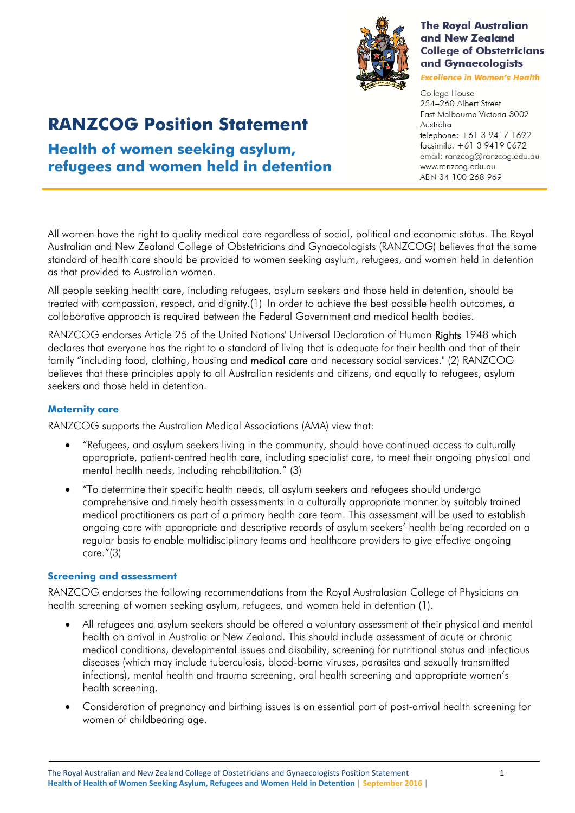

health screening.

 Consideration of pregnancy and birthing issues is an essential part of post-arrival health screening for women of childbearing age.

# **Health of women seeking asylum,**

# **refugees and women held in detention**

**RANZCOG Position Statement** 

All women have the right to quality medical care regardless of social, political and economic status. The Royal Australian and New Zealand College of Obstetricians and Gynaecologists (RANZCOG) believes that the same standard of health care should be provided to women seeking asylum, refugees, and women held in detention as that provided to Australian women.

All people seeking health care, including refugees, asylum seekers and those held in detention, should be treated with compassion, respect, and dignity.(1) In order to achieve the best possible health outcomes, a collaborative approach is required between the Federal Government and medical health bodies.

RANZCOG endorses Article 25 of the United Nations' Universal Declaration of Human Rights 1948 which declares that everyone has the right to a standard of living that is adequate for their health and that of their family "including food, clothing, housing and medical care and necessary social services." (2) RANZCOG believes that these principles apply to all Australian residents and citizens, and equally to refugees, asylum seekers and those held in detention.

## **Maternity care**

RANZCOG supports the Australian Medical Associations (AMA) view that:

- "Refugees, and asylum seekers living in the community, should have continued access to culturally appropriate, patient-centred health care, including specialist care, to meet their ongoing physical and mental health needs, including rehabilitation." (3)
- "To determine their specific health needs, all asylum seekers and refugees should undergo comprehensive and timely health assessments in a culturally appropriate manner by suitably trained medical practitioners as part of a primary health care team. This assessment will be used to establish ongoing care with appropriate and descriptive records of asylum seekers' health being recorded on a regular basis to enable multidisciplinary teams and healthcare providers to give effective ongoing care."(3)

### **Screening and assessment**

RANZCOG endorses the following recommendations from the Royal Australasian College of Physicians on health screening of women seeking asylum, refugees, and women held in detention (1).

 All refugees and asylum seekers should be offered a voluntary assessment of their physical and mental health on arrival in Australia or New Zealand. This should include assessment of acute or chronic medical conditions, developmental issues and disability, screening for nutritional status and infectious diseases (which may include tuberculosis, blood-borne viruses, parasites and sexually transmitted infections), mental health and trauma screening, oral health screening and appropriate women's

**The Royal Australian** and New Zealand

**College of Obstetricians** and Gynaecologists **Excellence in Women's Health** College House

254-260 Albert Street East Melbourne Victoria 3002 Australia telephone: +61 3 9417 1699 facsimile: +61 3 9419 0672 email: ranzcog@ranzcog.edu.au www.ranzcog.edu.au ABN 34 100 268 969